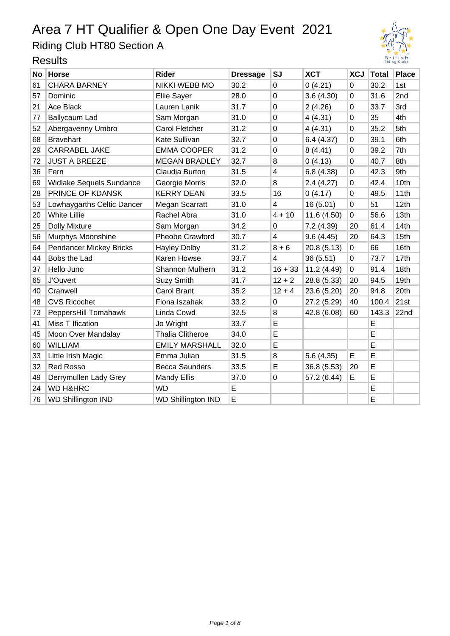Riding Club HT80 Section A



| <b>No</b> | <b>Horse</b>                   | <b>Rider</b>              | <b>Dressage</b> | <b>SJ</b>               | <b>XCT</b>  | <b>XCJ</b>     | <b>Total</b> | <b>Place</b> |
|-----------|--------------------------------|---------------------------|-----------------|-------------------------|-------------|----------------|--------------|--------------|
| 61        | <b>CHARA BARNEY</b>            | <b>NIKKI WEBB MO</b>      | 30.2            | $\Omega$                | 0(4.21)     | $\overline{0}$ | 30.2         | 1st          |
| 57        | Dominic                        | <b>Ellie Sayer</b>        | 28.0            | $\mathbf 0$             | 3.6(4.30)   | 0              | 31.6         | 2nd          |
| 21        | Ace Black                      | Lauren Lanik              | 31.7            | $\mathbf 0$             | 2(4.26)     | $\overline{0}$ | 33.7         | 3rd          |
| 77        | Ballycaum Lad                  | Sam Morgan                | 31.0            | $\mathbf 0$             | 4(4.31)     | $\mathbf 0$    | 35           | 4th          |
| 52        | Abergavenny Umbro              | Carol Fletcher            | 31.2            | $\mathbf 0$             | 4 (4.31)    | $\mathbf 0$    | 35.2         | 5th          |
| 68        | <b>Bravehart</b>               | Kate Sullivan             | 32.7            | $\mathbf 0$             | 6.4(4.37)   | 0              | 39.1         | 6th          |
| 29        | <b>CARRABEL JAKE</b>           | <b>EMMA COOPER</b>        | 31.2            | 0                       | 8(4.41)     | $\Omega$       | 39.2         | 7th          |
| 72        | <b>JUST A BREEZE</b>           | <b>MEGAN BRADLEY</b>      | 32.7            | 8                       | 0(4.13)     | $\overline{0}$ | 40.7         | 8th          |
| 36        | Fern                           | Claudia Burton            | 31.5            | $\overline{\mathbf{4}}$ | 6.8(4.38)   | 0              | 42.3         | 9th          |
| 69        | Widlake Sequels Sundance       | Georgie Morris            | 32.0            | 8                       | 2.4(4.27)   | $\Omega$       | 42.4         | 10th         |
| 28        | PRINCE OF KDANSK               | <b>KERRY DEAN</b>         | 33.5            | 16                      | 0(4.17)     | $\overline{0}$ | 49.5         | 11th         |
| 53        | Lowhaygarths Celtic Dancer     | Megan Scarratt            | 31.0            | $\overline{4}$          | 16(5.01)    | 0              | 51           | 12th         |
| 20        | <b>White Lillie</b>            | Rachel Abra               | 31.0            | $4 + 10$                | 11.6(4.50)  | 0              | 56.6         | 13th         |
| 25        | <b>Dolly Mixture</b>           | Sam Morgan                | 34.2            | $\mathbf 0$             | 7.2 (4.39)  | 20             | 61.4         | 14th         |
| 56        | Murphys Moonshine              | <b>Pheobe Crawford</b>    | 30.7            | 4                       | 9.6(4.45)   | 20             | 64.3         | 15th         |
| 64        | <b>Pendancer Mickey Bricks</b> | <b>Hayley Dolby</b>       | 31.2            | $8 + 6$                 | 20.8 (5.13) | $\mathbf 0$    | 66           | 16th         |
| 44        | Bobs the Lad                   | Karen Howse               | 33.7            | $\overline{\mathbf{4}}$ | 36(5.51)    | 0              | 73.7         | 17th         |
| 37        | Hello Juno                     | <b>Shannon Mulhern</b>    | 31.2            | $16 + 33$               | 11.2 (4.49) | $\mathbf 0$    | 91.4         | 18th         |
| 65        | <b>J'Ouvert</b>                | Suzy Smith                | 31.7            | $12 + 2$                | 28.8 (5.33) | 20             | 94.5         | 19th         |
| 40        | Cranwell                       | <b>Carol Brant</b>        | 35.2            | $12 + 4$                | 23.6 (5.20) | 20             | 94.8         | 20th         |
| 48        | <b>CVS Ricochet</b>            | Fiona Iszahak             | 33.2            | 0                       | 27.2 (5.29) | 40             | 100.4        | 21st         |
| 73        | PeppersHill Tomahawk           | Linda Cowd                | 32.5            | 8                       | 42.8 (6.08) | 60             | 143.3        | 22nd         |
| 41        | Miss T Ification               | Jo Wright                 | 33.7            | E                       |             |                | E            |              |
| 45        | Moon Over Mandalay             | <b>Thalia Clitheroe</b>   | 34.0            | E                       |             |                | E            |              |
| 60        | <b>WILLIAM</b>                 | <b>EMILY MARSHALL</b>     | 32.0            | E                       |             |                | E            |              |
| 33        | Little Irish Magic             | Emma Julian               | 31.5            | 8                       | 5.6(4.35)   | E              | E            |              |
| 32        | <b>Red Rosso</b>               | <b>Becca Saunders</b>     | 33.5            | E                       | 36.8 (5.53) | 20             | E            |              |
| 49        | Derrymullen Lady Grey          | <b>Mandy Ellis</b>        | 37.0            | $\mathbf 0$             | 57.2 (6.44) | E              | E            |              |
| 24        | <b>WD H&amp;HRC</b>            | <b>WD</b>                 | E               |                         |             |                | E            |              |
| 76        | <b>WD Shillington IND</b>      | <b>WD Shillington IND</b> | E               |                         |             |                | E            |              |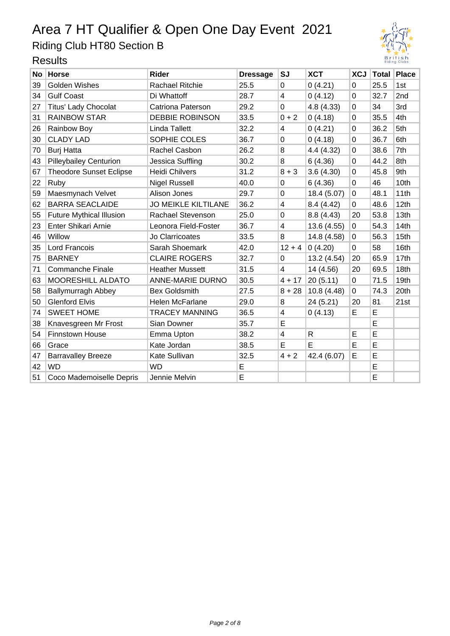Riding Club HT80 Section B



| No l | <b>Horse</b>                    | <b>Rider</b>               | <b>Dressage</b> | <b>SJ</b>               | <b>XCT</b>   | <b>XCJ</b> |      | Total Place     |
|------|---------------------------------|----------------------------|-----------------|-------------------------|--------------|------------|------|-----------------|
| 39   | <b>Golden Wishes</b>            | <b>Rachael Ritchie</b>     | 25.5            | $\Omega$                | 0(4.21)      | 0          | 25.5 | 1st             |
| 34   | <b>Gulf Coast</b>               | Di Whattoff                | 28.7            | 4                       | 0(4.12)      | 0          | 32.7 | 2 <sub>nd</sub> |
| 27   | Titus' Lady Chocolat            | <b>Catriona Paterson</b>   | 29.2            | 0                       | 4.8 (4.33)   | 0          | 34   | 3rd             |
| 31   | <b>RAINBOW STAR</b>             | <b>DEBBIE ROBINSON</b>     | 33.5            | $0 + 2$                 | 0(4.18)      | 0          | 35.5 | 4th             |
| 26   | Rainbow Boy                     | <b>Linda Tallett</b>       | 32.2            | 4                       | 0(4.21)      | 0          | 36.2 | 5th             |
| 30   | <b>CLADY LAD</b>                | SOPHIE COLES               | 36.7            | 0                       | 0(4.18)      | 0          | 36.7 | 6th             |
| 70   | <b>Burj Hatta</b>               | <b>Rachel Casbon</b>       | 26.2            | 8                       | 4.4 (4.32)   | 0          | 38.6 | 7th             |
| 43   | <b>Pilleybailey Centurion</b>   | Jessica Suffling           | 30.2            | 8                       | 6(4.36)      | 0          | 44.2 | 8th             |
| 67   | <b>Theodore Sunset Eclipse</b>  | <b>Heidi Chilvers</b>      | 31.2            | $8 + 3$                 | 3.6(4.30)    | 0          | 45.8 | 9th             |
| 22   | Ruby                            | <b>Nigel Russell</b>       | 40.0            | $\Omega$                | 6(4.36)      | 0          | 46   | 10th            |
| 59   | Maesmynach Velvet               | Alison Jones               | 29.7            | $\mathbf 0$             | 18.4 (5.07)  | 0          | 48.1 | 11th            |
| 62   | <b>BARRA SEACLAIDE</b>          | <b>JO MEIKLE KILTILANE</b> | 36.2            | $\overline{\mathbf{4}}$ | 8.4(4.42)    | 0          | 48.6 | 12th            |
| 55   | <b>Future Mythical Illusion</b> | Rachael Stevenson          | 25.0            | $\pmb{0}$               | 8.8(4.43)    | 20         | 53.8 | 13th            |
| 23   | Enter Shikari Arnie             | Leonora Field-Foster       | 36.7            | $\overline{4}$          | 13.6 (4.55)  | 0          | 54.3 | 14th            |
| 46   | Willow                          | Jo Clarricoates            | 33.5            | 8                       | 14.8 (4.58)  | 0          | 56.3 | 15th            |
| 35   | Lord Francois                   | Sarah Shoemark             | 42.0            | $12 + 4$                | 0(4.20)      | 0          | 58   | 16th            |
| 75   | <b>BARNEY</b>                   | <b>CLAIRE ROGERS</b>       | 32.7            | $\Omega$                | 13.2 (4.54)  | 20         | 65.9 | 17th            |
| 71   | Commanche Finale                | <b>Heather Mussett</b>     | 31.5            | $\overline{4}$          | 14 (4.56)    | 20         | 69.5 | 18th            |
| 63   | MOORESHILL ALDATO               | <b>ANNE-MARIE DURNO</b>    | 30.5            | $4 + 17$                | 20(5.11)     | 0          | 71.5 | 19th            |
| 58   | <b>Ballymurragh Abbey</b>       | <b>Bex Goldsmith</b>       | 27.5            | $8 + 28$                | 10.8(4.48)   | 0          | 74.3 | 20th            |
| 50   | <b>Glenford Elvis</b>           | Helen McFarlane            | 29.0            | 8                       | 24 (5.21)    | 20         | 81   | 21st            |
| 74   | <b>SWEET HOME</b>               | <b>TRACEY MANNING</b>      | 36.5            | 4                       | 0(4.13)      | E          | E    |                 |
| 38   | Knavesgreen Mr Frost            | Sian Downer                | 35.7            | E                       |              |            | E    |                 |
| 54   | <b>Finnstown House</b>          | Emma Upton                 | 38.2            | $\overline{4}$          | $\mathsf{R}$ | E          | E    |                 |
| 66   | Grace                           | Kate Jordan                | 38.5            | E                       | E            | E          | E    |                 |
| 47   | <b>Barravalley Breeze</b>       | Kate Sullivan              | 32.5            | $4 + 2$                 | 42.4 (6.07)  | E          | E    |                 |
| 42   | <b>WD</b>                       | <b>WD</b>                  | E               |                         |              |            | E    |                 |
| 51   | Coco Mademoiselle Depris        | Jennie Melvin              | E               |                         |              |            | E    |                 |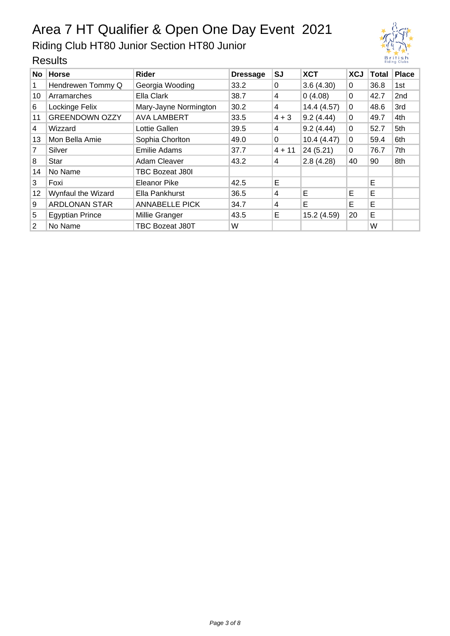Riding Club HT80 Junior Section HT80 Junior

| No.            | <b>Horse</b>           | Rider                  | <b>Dressage</b> | SJ       | <b>XCT</b>  | <b>XCJ</b> | Total | <b>Place</b> |
|----------------|------------------------|------------------------|-----------------|----------|-------------|------------|-------|--------------|
| 1              | Hendrewen Tommy Q      | Georgia Wooding        | 33.2            | $\Omega$ | 3.6(4.30)   | $\Omega$   | 36.8  | 1st          |
| 10             | Arramarches            | Ella Clark             | 38.7            | 4        | 0(4.08)     | 0          | 42.7  | 2nd          |
| 6              | Lockinge Felix         | Mary-Jayne Normington  | 30.2            | 4        | 14.4 (4.57) | 0          | 48.6  | 3rd          |
| 11             | <b>GREENDOWN OZZY</b>  | <b>AVA LAMBERT</b>     | 33.5            | $4 + 3$  | 9.2(4.44)   | 0          | 49.7  | 4th          |
| 4              | Wizzard                | Lottie Gallen          | 39.5            | 4        | 9.2(4.44)   | 0          | 52.7  | 5th          |
| 13             | Mon Bella Amie         | Sophia Chorlton        | 49.0            | 0        | 10.4(4.47)  | 0          | 59.4  | 6th          |
| 7              | Silver                 | <b>Emilie Adams</b>    | 37.7            | $4 + 11$ | 24(5.21)    | 0          | 76.7  | 7th          |
| 8              | <b>Star</b>            | Adam Cleaver           | 43.2            | 4        | 2.8(4.28)   | 40         | 90    | 8th          |
| 14             | No Name                | <b>TBC Bozeat J80I</b> |                 |          |             |            |       |              |
| 3              | Foxi                   | Eleanor Pike           | 42.5            | Е        |             |            | E     |              |
| 12             | Wynfaul the Wizard     | Ella Pankhurst         | 36.5            | 4        | E           | Е          | Е     |              |
| 9              | <b>ARDLONAN STAR</b>   | <b>ANNABELLE PICK</b>  | 34.7            | 4        | Е           | Е          | Е     |              |
| 5              | <b>Egyptian Prince</b> | Millie Granger         | 43.5            | Е        | 15.2 (4.59) | 20         | E     |              |
| $\overline{2}$ | No Name                | <b>TBC Bozeat J80T</b> | W               |          |             |            | W     |              |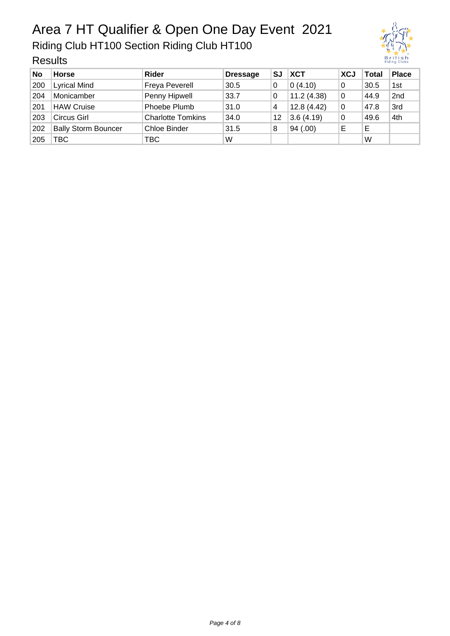Riding Club HT100 Section Riding Club HT100

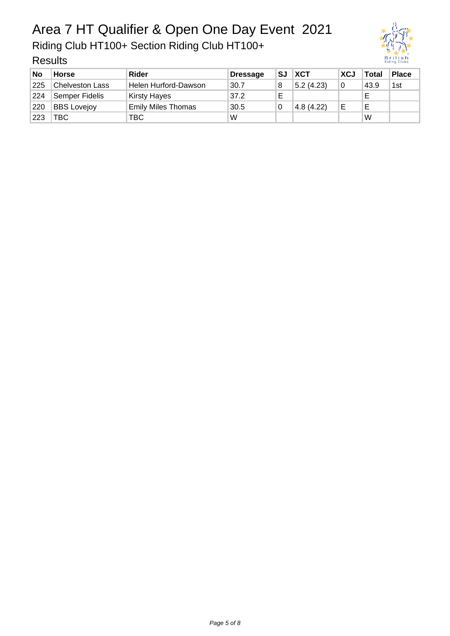Riding Club HT100+ Section Riding Club HT100+



| <b>No</b> | <b>Horse</b>           | <b>Rider</b>              | <b>Dressage</b> | SJ | <b>XCT</b> | <b>XCJ</b> | <b>Total</b> | <b>Place</b> |
|-----------|------------------------|---------------------------|-----------------|----|------------|------------|--------------|--------------|
| 225       | <b>Chelveston Lass</b> | Helen Hurford-Dawson      | 30.7            | 8  | 5.2(4.23)  | 0          | 43.9         | 1st          |
| 224       | <b>Semper Fidelis</b>  | <b>Kirsty Hayes</b>       | 37.2            | F  |            |            |              |              |
| 220       | <b>BBS Lovejoy</b>     | <b>Emily Miles Thomas</b> | 30.5            |    | 4.8(4.22)  | E          | Е            |              |
| 223       | TBC                    | твс                       | W               |    |            |            | W            |              |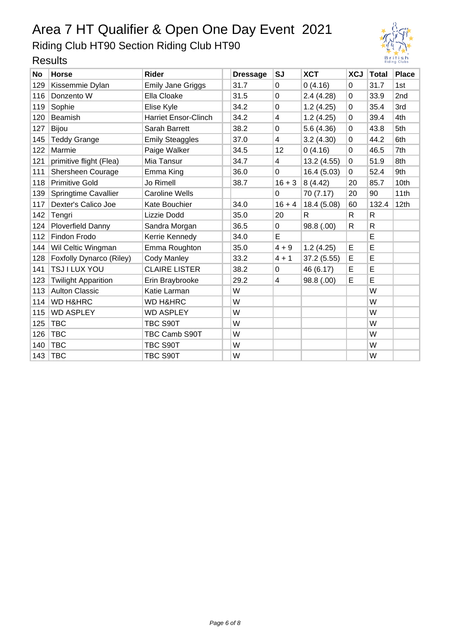Riding Club HT90 Section Riding Club HT90

| No  | Horse                      | Rider                       | <b>Dressage</b> | <b>SJ</b> | <b>XCT</b>  | <b>XCJ</b>  | <b>Total</b> | <b>Place</b>    |
|-----|----------------------------|-----------------------------|-----------------|-----------|-------------|-------------|--------------|-----------------|
| 129 | Kissemmie Dylan            | <b>Emily Jane Griggs</b>    | 31.7            | 0         | 0(4.16)     | $\mathbf 0$ | 31.7         | 1st             |
| 116 | Donzento W                 | Ella Cloake                 | 31.5            | 0         | 2.4(4.28)   | 0           | 33.9         | 2 <sub>nd</sub> |
| 119 | Sophie                     | Elise Kyle                  | 34.2            | 0         | 1.2(4.25)   | 0           | 35.4         | 3rd             |
| 120 | Beamish                    | <b>Harriet Ensor-Clinch</b> | 34.2            | 4         | 1.2(4.25)   | 0           | 39.4         | 4th             |
| 127 | <b>Bijou</b>               | Sarah Barrett               | 38.2            | 0         | 5.6 (4.36)  | $\Omega$    | 43.8         | 5th             |
| 145 | <b>Teddy Grange</b>        | <b>Emily Steaggles</b>      | 37.0            | 4         | 3.2(4.30)   | 0           | 44.2         | 6th             |
| 122 | Marmie                     | Paige Walker                | 34.5            | 12        | 0(4.16)     | $\Omega$    | 46.5         | 7th             |
| 121 | primitive flight (Flea)    | Mia Tansur                  | 34.7            | 4         | 13.2 (4.55) | $\mathbf 0$ | 51.9         | 8th             |
| 111 | Shersheen Courage          | Emma King                   | 36.0            | 0         | 16.4 (5.03) | 0           | 52.4         | 9th             |
| 118 | <b>Primitive Gold</b>      | Jo Rimell                   | 38.7            | $16 + 3$  | 8(4.42)     | 20          | 85.7         | 10th            |
| 139 | Springtime Cavallier       | <b>Caroline Wells</b>       |                 | 0         | 70 (7.17)   | 20          | 90           | 11th            |
| 117 | Dexter's Calico Joe        | Kate Bouchier               | 34.0            | $16 + 4$  | 18.4 (5.08) | 60          | 132.4        | 12th            |
| 142 | Tengri                     | Lizzie Dodd                 | 35.0            | 20        | R           | R.          | $\mathsf{R}$ |                 |
| 124 | Ploverfield Danny          | Sandra Morgan               | 36.5            | 0         | 98.8 (.00)  | R           | R            |                 |
| 112 | Findon Frodo               | Kerrie Kennedy              | 34.0            | E         |             |             | E            |                 |
| 144 | Wil Celtic Wingman         | Emma Roughton               | 35.0            | $4 + 9$   | 1.2(4.25)   | E           | E            |                 |
| 128 | Foxfolly Dynarco (Riley)   | <b>Cody Manley</b>          | 33.2            | $4 + 1$   | 37.2(5.55)  | E           | E            |                 |
| 141 | TSJ I LUX YOU              | <b>CLAIRE LISTER</b>        | 38.2            | 0         | 46 (6.17)   | E           | E            |                 |
| 123 | <b>Twilight Apparition</b> | Erin Braybrooke             | 29.2            | 4         | 98.8 (.00)  | E           | E            |                 |
| 113 | <b>Aulton Classic</b>      | Katie Larman                | W               |           |             |             | W            |                 |
| 114 | <b>WD H&amp;HRC</b>        | <b>WD H&amp;HRC</b>         | W               |           |             |             | W            |                 |
| 115 | <b>WD ASPLEY</b>           | <b>WD ASPLEY</b>            | W               |           |             |             | W            |                 |
| 125 | <b>TBC</b>                 | TBC S90T                    | W               |           |             |             | W            |                 |
| 126 | <b>TBC</b>                 | TBC Camb S90T               | W               |           |             |             | W            |                 |
| 140 | TBC                        | TBC S90T                    | W               |           |             |             | W            |                 |
|     | 143   TBC                  | TBC S90T                    | W               |           |             |             | W            |                 |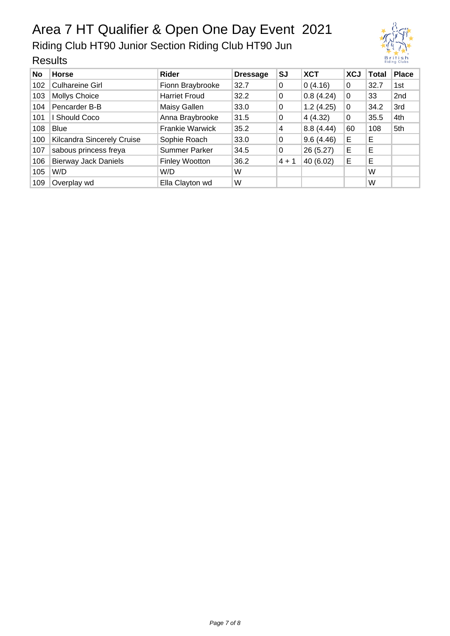Riding Club HT90 Junior Section Riding Club HT90 Jun

| No  | <b>Horse</b>                | Rider                  | <b>Dressage</b> | <b>SJ</b> | <b>XCT</b> | <b>XCJ</b> | <b>Total</b> | <b>Place</b> |
|-----|-----------------------------|------------------------|-----------------|-----------|------------|------------|--------------|--------------|
| 102 | <b>Culhareine Girl</b>      | Fionn Braybrooke       | 32.7            | 0         | 0(4.16)    | 0          | 32.7         | 1st          |
| 103 | <b>Mollys Choice</b>        | <b>Harriet Froud</b>   | 32.2            | 0         | 0.8(4.24)  | 0          | 33           | 2nd          |
| 104 | Pencarder B-B               | Maisy Gallen           | 33.0            | 0         | 1.2(4.25)  | 0          | 34.2         | 3rd          |
| 101 | I Should Coco               | Anna Braybrooke        | 31.5            | 0         | 4(4.32)    | 0          | 35.5         | 4th          |
| 108 | <b>Blue</b>                 | <b>Frankie Warwick</b> | 35.2            | 4         | 8.8(4.44)  | 60         | 108          | 5th          |
| 100 | Kilcandra Sincerely Cruise  | Sophie Roach           | 33.0            | 0         | 9.6(4.46)  | Е          | Е            |              |
| 107 | sabous princess freya       | <b>Summer Parker</b>   | 34.5            | 0         | 26 (5.27)  | Е          | Е            |              |
| 106 | <b>Bierway Jack Daniels</b> | <b>Finley Wootton</b>  | 36.2            | $4 + 1$   | 40 (6.02)  | Е          | E            |              |
| 105 | W/D                         | W/D                    | W               |           |            |            | W            |              |
| 109 | Overplay wd                 | Ella Clayton wd        | W               |           |            |            | W            |              |